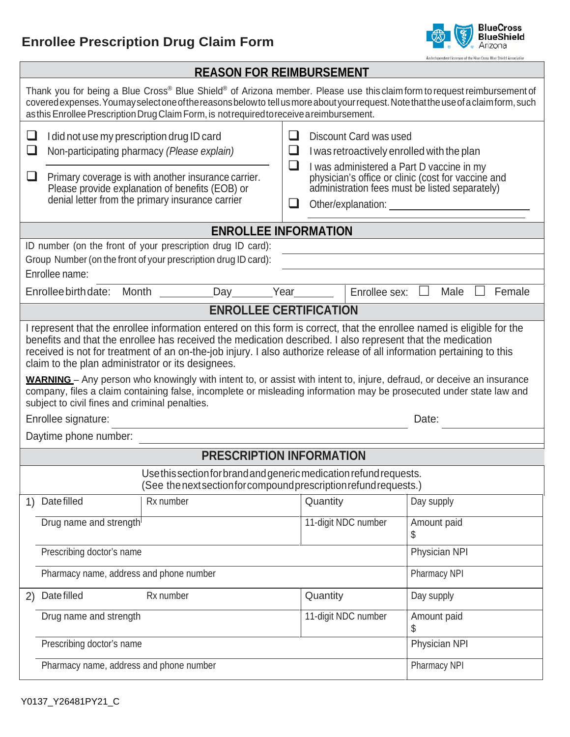## **Enrollee Prescription Drug Claim Form**



| An Independent Licensee of the Blue Cross Blue Shield Associatio<br><b>REASON FOR REIMBURSEMENT</b>                                                                                                                                                                                                                                                                                                                                                                                                                                                                                                                                                                                                                         |                                                                                                                                                                                                                                                                                                        |  |  |  |  |  |  |
|-----------------------------------------------------------------------------------------------------------------------------------------------------------------------------------------------------------------------------------------------------------------------------------------------------------------------------------------------------------------------------------------------------------------------------------------------------------------------------------------------------------------------------------------------------------------------------------------------------------------------------------------------------------------------------------------------------------------------------|--------------------------------------------------------------------------------------------------------------------------------------------------------------------------------------------------------------------------------------------------------------------------------------------------------|--|--|--|--|--|--|
| Thank you for being a Blue Cross® Blue Shield® of Arizona member. Please use this claim form to request reimbursement of<br>covered expenses. You may select one of the reasons below to tell us more about your request. Note that the use of a claim form, such<br>as this Enrollee Prescription Drug Claim Form, is not required to receive a reimbursement.                                                                                                                                                                                                                                                                                                                                                             |                                                                                                                                                                                                                                                                                                        |  |  |  |  |  |  |
| ❏<br>I did not use my prescription drug ID card<br>$\Box$<br>Non-participating pharmacy (Please explain)<br>Primary coverage is with another insurance carrier.<br>ப<br>Please provide explanation of benefits (EOB) or<br>denial letter from the primary insurance carrier                                                                                                                                                                                                                                                                                                                                                                                                                                                 | $\Box$<br>Discount Card was used<br>⊔<br>I was retroactively enrolled with the plan<br>$\sqcup$<br>I was administered a Part D vaccine in my<br>physician's office or clinic (cost for vaccine and<br>administration fees must be listed separately)<br>Other/explanation:<br>$\overline{\phantom{a}}$ |  |  |  |  |  |  |
|                                                                                                                                                                                                                                                                                                                                                                                                                                                                                                                                                                                                                                                                                                                             | <b>ENROLLEE INFORMATION</b>                                                                                                                                                                                                                                                                            |  |  |  |  |  |  |
| ID number (on the front of your prescription drug ID card):<br>Group Number (on the front of your prescription drug ID card):<br>Enrollee name:                                                                                                                                                                                                                                                                                                                                                                                                                                                                                                                                                                             |                                                                                                                                                                                                                                                                                                        |  |  |  |  |  |  |
| Enrollee birth date:<br>Day<br>Month                                                                                                                                                                                                                                                                                                                                                                                                                                                                                                                                                                                                                                                                                        | Year<br>Enrollee sex:<br>Male<br>Female                                                                                                                                                                                                                                                                |  |  |  |  |  |  |
|                                                                                                                                                                                                                                                                                                                                                                                                                                                                                                                                                                                                                                                                                                                             | <b>ENROLLEE CERTIFICATION</b>                                                                                                                                                                                                                                                                          |  |  |  |  |  |  |
| I represent that the enrollee information entered on this form is correct, that the enrollee named is eligible for the<br>benefits and that the enrollee has received the medication described. I also represent that the medication<br>received is not for treatment of an on-the-job injury. I also authorize release of all information pertaining to this<br>claim to the plan administrator or its designees.<br><b>WARNING</b> – Any person who knowingly with intent to, or assist with intent to, injure, defraud, or deceive an insurance<br>company, files a claim containing false, incomplete or misleading information may be prosecuted under state law and<br>subject to civil fines and criminal penalties. |                                                                                                                                                                                                                                                                                                        |  |  |  |  |  |  |
| Enrollee signature:                                                                                                                                                                                                                                                                                                                                                                                                                                                                                                                                                                                                                                                                                                         | Date:                                                                                                                                                                                                                                                                                                  |  |  |  |  |  |  |
| Daytime phone number:                                                                                                                                                                                                                                                                                                                                                                                                                                                                                                                                                                                                                                                                                                       |                                                                                                                                                                                                                                                                                                        |  |  |  |  |  |  |
|                                                                                                                                                                                                                                                                                                                                                                                                                                                                                                                                                                                                                                                                                                                             | <b>PRESCRIPTION INFORMATION</b>                                                                                                                                                                                                                                                                        |  |  |  |  |  |  |
| Use this section for brand and generic medication refund requests.<br>(See the next section for compound prescription refund requests.)                                                                                                                                                                                                                                                                                                                                                                                                                                                                                                                                                                                     |                                                                                                                                                                                                                                                                                                        |  |  |  |  |  |  |
| Date filled<br>Rx number<br>1)                                                                                                                                                                                                                                                                                                                                                                                                                                                                                                                                                                                                                                                                                              | Quantity<br>Day supply                                                                                                                                                                                                                                                                                 |  |  |  |  |  |  |
| Drug name and strength                                                                                                                                                                                                                                                                                                                                                                                                                                                                                                                                                                                                                                                                                                      | 11-digit NDC number<br>Amount paid<br>\$                                                                                                                                                                                                                                                               |  |  |  |  |  |  |
| Prescribing doctor's name                                                                                                                                                                                                                                                                                                                                                                                                                                                                                                                                                                                                                                                                                                   | Physician NPI                                                                                                                                                                                                                                                                                          |  |  |  |  |  |  |
| Pharmacy name, address and phone number                                                                                                                                                                                                                                                                                                                                                                                                                                                                                                                                                                                                                                                                                     | Pharmacy NPI                                                                                                                                                                                                                                                                                           |  |  |  |  |  |  |
| Date filled<br>Rx number<br>2)                                                                                                                                                                                                                                                                                                                                                                                                                                                                                                                                                                                                                                                                                              | Quantity<br>Day supply                                                                                                                                                                                                                                                                                 |  |  |  |  |  |  |
| Drug name and strength                                                                                                                                                                                                                                                                                                                                                                                                                                                                                                                                                                                                                                                                                                      | 11-digit NDC number<br>Amount paid<br>\$                                                                                                                                                                                                                                                               |  |  |  |  |  |  |
| Prescribing doctor's name<br>Physician NPI                                                                                                                                                                                                                                                                                                                                                                                                                                                                                                                                                                                                                                                                                  |                                                                                                                                                                                                                                                                                                        |  |  |  |  |  |  |
| Pharmacy name, address and phone number                                                                                                                                                                                                                                                                                                                                                                                                                                                                                                                                                                                                                                                                                     | Pharmacy NPI                                                                                                                                                                                                                                                                                           |  |  |  |  |  |  |